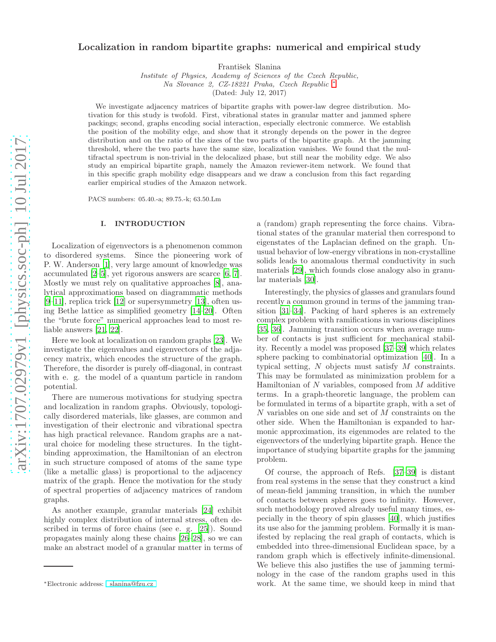# Localization in random bipartite graphs: numerical and empirical study

František Slanina

Institute of Physics, Academy of Sciences of the Czech Republic, Na Slovance 2, CZ-18221 Praha, Czech Republic [∗](#page-0-0)

(Dated: July 12, 2017)

We investigate adjacency matrices of bipartite graphs with power-law degree distribution. Motivation for this study is twofold. First, vibrational states in granular matter and jammed sphere packings; second, graphs encoding social interaction, especially electronic commerce. We establish the position of the mobility edge, and show that it strongly depends on the power in the degree distribution and on the ratio of the sizes of the two parts of the bipartite graph. At the jamming threshold, where the two parts have the same size, localization vanishes. We found that the multifractal spectrum is non-trivial in the delocalized phase, but still near the mobility edge. We also study an empirical bipartite graph, namely the Amazon reviewer-item network. We found that in this specific graph mobility edge disappears and we draw a conclusion from this fact regarding earlier empirical studies of the Amazon network.

PACS numbers: 05.40.-a; 89.75.-k; 63.50.Lm

# I. INTRODUCTION

Localization of eigenvectors is a phenomenon common to disordered systems. Since the pioneering work of P. W. Anderson [\[1\]](#page-13-0), very large amount of knowledge was accumulated [\[2](#page-13-1)[–5](#page-13-2)], yet rigorous answers are scarce [\[6,](#page-13-3) [7\]](#page-13-4). Mostly we must rely on qualitative approaches [\[8\]](#page-13-5), analytical approximations based on diagrammatic methods  $[9-11]$  $[9-11]$ , replica trick  $[12]$  or supersymmetry  $[13]$ , often using Bethe lattice as simplified geometry [\[14](#page-13-10)[–20](#page-13-11)]. Often the "brute force" numerical approaches lead to most reliable answers [\[21](#page-13-12), [22](#page-13-13)].

Here we look at localization on random graphs [\[23\]](#page-13-14). We investigate the eigenvalues and eigenvectors of the adjacency matrix, which encodes the structure of the graph. Therefore, the disorder is purely off-diagonal, in contrast with e. g. the model of a quantum particle in random potential.

There are numerous motivations for studying spectra and localization in random graphs. Obviously, topologically disordered materials, like glasses, are common and investigation of their electronic and vibrational spectra has high practical relevance. Random graphs are a natural choice for modeling these structures. In the tightbinding approximation, the Hamiltonian of an electron in such structure composed of atoms of the same type (like a metallic glass) is proportional to the adjacency matrix of the graph. Hence the motivation for the study of spectral properties of adjacency matrices of random graphs.

As another example, granular materials [\[24](#page-13-15)] exhibit highly complex distribution of internal stress, often described in terms of force chains (see e. g. [\[25\]](#page-13-16)). Sound propagates mainly along these chains [\[26](#page-13-17)[–28\]](#page-14-0), so we can make an abstract model of a granular matter in terms of a (random) graph representing the force chains. Vibrational states of the granular material then correspond to eigenstates of the Laplacian defined on the graph. Unusual behavior of low-energy vibrations in non-crystalline solids leads to anomalous thermal conductivity in such materials [\[29\]](#page-14-1), which founds close analogy also in granular materials [\[30\]](#page-14-2).

Interestingly, the physics of glasses and granulars found recently a common ground in terms of the jamming transition [\[31](#page-14-3)[–34\]](#page-14-4). Packing of hard spheres is an extremely complex problem with ramifications in various disciplines [\[35,](#page-14-5) [36](#page-14-6)]. Jamming transition occurs when average number of contacts is just sufficient for mechanical stability. Recently a model was proposed [\[37](#page-14-7)[–39\]](#page-14-8) which relates sphere packing to combinatorial optimization [\[40\]](#page-14-9). In a typical setting, N objects must satisfy M constraints. This may be formulated as minimization problem for a Hamiltonian of N variables, composed from M additive terms. In a graph-theoretic language, the problem can be formulated in terms of a bipartite graph, with a set of N variables on one side and set of M constraints on the other side. When the Hamiltonian is expanded to harmonic approximation, its eigenmodes are related to the eigenvectors of the underlying bipartite graph. Hence the importance of studying bipartite graphs for the jamming problem.

Of course, the approach of Refs. [\[37](#page-14-7)[–39\]](#page-14-8) is distant from real systems in the sense that they construct a kind of mean-field jamming transition, in which the number of contacts between spheres goes to infinity. However, such methodology proved already useful many times, especially in the theory of spin glasses [\[40\]](#page-14-9), which justifies its use also for the jamming problem. Formally it is manifested by replacing the real graph of contacts, which is embedded into three-dimensional Euclidean space, by a random graph which is effectively infinite-dimensional. We believe this also justifies the use of jamming terminology in the case of the random graphs used in this work. At the same time, we should keep in mind that

<span id="page-0-0"></span><sup>∗</sup>Electronic address: [slanina@fzu.cz](mailto: slanina@fzu.cz )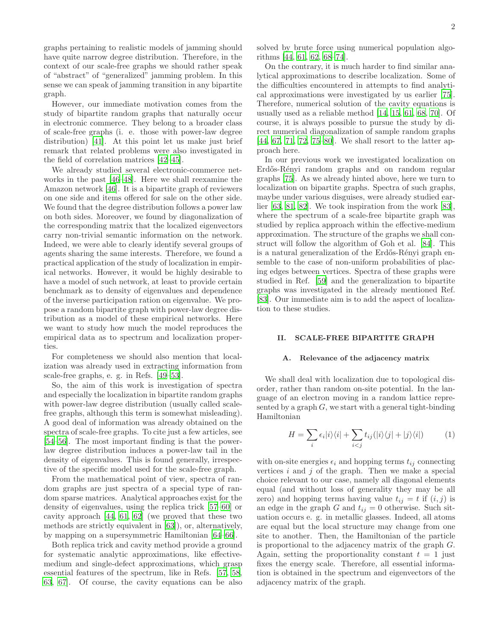graphs pertaining to realistic models of jamming should have quite narrow degree distribution. Therefore, in the context of our scale-free graphs we should rather speak of "abstract" of "generalized" jamming problem. In this sense we can speak of jamming transition in any bipartite graph.

However, our immediate motivation comes from the study of bipartite random graphs that naturally occur in electronic commerce. They belong to a broader class of scale-free graphs (i. e. those with power-law degree distribution) [\[41\]](#page-14-10). At this point let us make just brief remark that related problems were also investigated in the field of correlation matrices [\[42](#page-14-11)[–45\]](#page-14-12).

We already studied several electronic-commerce networks in the past [\[46](#page-14-13)[–48\]](#page-14-14). Here we shall reexamine the Amazon network [\[46\]](#page-14-13). It is a bipartite graph of reviewers on one side and items offered for sale on the other side. We found that the degree distribution follows a power law on both sides. Moreover, we found by diagonalization of the corresponding matrix that the localized eigenvectors carry non-trivial semantic information on the network. Indeed, we were able to clearly identify several groups of agents sharing the same interests. Therefore, we found a practical application of the study of localization in empirical networks. However, it would be highly desirable to have a model of such network, at least to provide certain benchmark as to density of eigenvalues and dependence of the inverse participation ration on eigenvalue. We propose a random bipartite graph with power-law degree distribution as a model of these empirical networks. Here we want to study how much the model reproduces the empirical data as to spectrum and localization properties.

For completeness we should also mention that localization was already used in extracting information from scale-free graphs, e. g. in Refs. [\[49](#page-14-15)[–53\]](#page-14-16).

So, the aim of this work is investigation of spectra and especially the localization in bipartite random graphs with power-law degree distribution (usually called scalefree graphs, although this term is somewhat misleading). A good deal of information was already obtained on the spectra of scale-free graphs. To cite just a few articles, see [\[54](#page-14-17)[–56\]](#page-14-18). The most important finding is that the powerlaw degree distribution induces a power-law tail in the density of eigenvalues. This is found generally, irrespective of the specific model used for the scale-free graph.

From the mathematical point of view, spectra of random graphs are just spectra of a special type of random sparse matrices. Analytical approaches exist for the density of eigenvalues, using the replica trick [\[57](#page-14-19)[–60\]](#page-14-20) or cavity approach [\[44,](#page-14-21) [61,](#page-14-22) [62\]](#page-14-23) (we proved that these two methods are strictly equivalent in [\[63](#page-14-24)]), or, alternatively, by mapping on a supersymmetric Hamiltonian [\[64](#page-14-25)[–66\]](#page-14-26).

Both replica trick and cavity method provide a ground for systematic analytic approximations, like effectivemedium and single-defect approximations, which grasp essential features of the spectrum, like in Refs. [\[57,](#page-14-19) [58](#page-14-27), [63,](#page-14-24) [67\]](#page-14-28). Of course, the cavity equations can be also solved by brute force using numerical population algorithms [\[44](#page-14-21), [61,](#page-14-22) [62,](#page-14-23) [68](#page-14-29)[–74\]](#page-14-30).

On the contrary, it is much harder to find similar analytical approximations to describe localization. Some of the difficulties encountered in attempts to find analytical approximations were investigated by us earlier [\[75\]](#page-14-31). Therefore, numerical solution of the cavity equations is usually used as a reliable method [\[14,](#page-13-10) [15,](#page-13-18) [61,](#page-14-22) [68,](#page-14-29) [70](#page-14-32)]. Of course, it is always possible to pursue the study by direct numerical diagonalization of sample random graphs [\[44,](#page-14-21) [67](#page-14-28), [71,](#page-14-33) [72,](#page-14-34) [75](#page-14-31)[–80](#page-14-35)]. We shall resort to the latter approach here.

In our previous work we investigated localization on Erdős-Rényi random graphs and on random regular graphs [\[75\]](#page-14-31). As we already hinted above, here we turn to localization on bipartite graphs. Spectra of such graphs, maybe under various disguises, were already studied earlier [\[63,](#page-14-24) [81,](#page-14-36) [82](#page-14-37)]. We took inspiration from the work [\[83\]](#page-14-38), where the spectrum of a scale-free bipartite graph was studied by replica approach within the effective-medium approximation. The structure of the graphs we shall construct will follow the algorithm of Goh et al. [\[84\]](#page-14-39). This is a natural generalization of the Erdős-Rényi graph ensemble to the case of non-uniform probabilities of placing edges between vertices. Spectra of these graphs were studied in Ref. [\[59](#page-14-40)] and the generalization to bipartite graphs was investigated in the already mentioned Ref. [\[83\]](#page-14-38). Our immediate aim is to add the aspect of localization to these studies.

# II. SCALE-FREE BIPARTITE GRAPH

### A. Relevance of the adjacency matrix

We shall deal with localization due to topological disorder, rather than random on-site potential. In the language of an electron moving in a random lattice represented by a graph  $G$ , we start with a general tight-binding Hamiltonian

$$
H = \sum_{i} \epsilon_i |i\rangle\langle i| + \sum_{i < j} t_{ij} (|i\rangle\langle j| + |j\rangle\langle i|) \tag{1}
$$

with on-site energies  $\epsilon_i$  and hopping terms  $t_{ij}$  connecting vertices  $i$  and  $j$  of the graph. Then we make a special choice relevant to our case, namely all diagonal elements equal (and without loss of generality they may be all zero) and hopping terms having value  $t_{ij} = t$  if  $(i, j)$  is an edge in the graph G and  $t_{ij} = 0$  otherwise. Such situation occurs e. g. in metallic glasses. Indeed, all atoms are equal but the local structure may change from one site to another. Then, the Hamiltonian of the particle is proportional to the adjacency matrix of the graph G. Again, setting the proportionality constant  $t = 1$  just fixes the energy scale. Therefore, all essential information is obtained in the spectrum and eigenvectors of the adjacency matrix of the graph.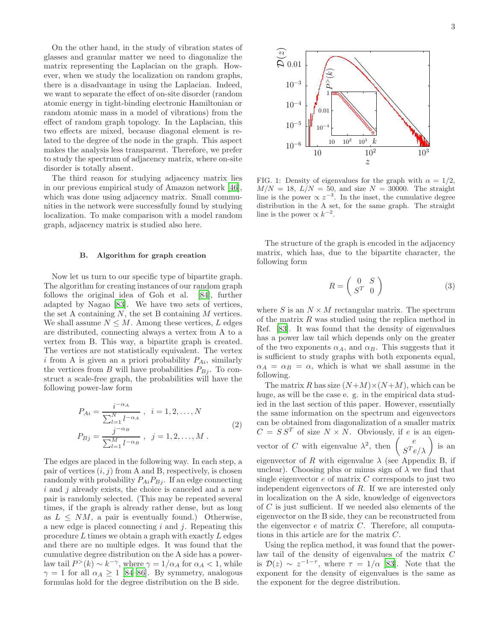On the other hand, in the study of vibration states of glasses and granular matter we need to diagonalize the matrix representing the Laplacian on the graph. However, when we study the localization on random graphs, there is a disadvantage in using the Laplacian. Indeed, we want to separate the effect of on-site disorder (random atomic energy in tight-binding electronic Hamiltonian or random atomic mass in a model of vibrations) from the effect of random graph topology. In the Laplacian, this two effects are mixed, because diagonal element is related to the degree of the node in the graph. This aspect makes the analysis less transparent. Therefore, we prefer to study the spectrum of adjacency matrix, where on-site disorder is totally absent.

The third reason for studying adjacency matrix lies in our previous empirical study of Amazon network [\[46\]](#page-14-13), which was done using adjacency matrix. Small communities in the network were successfully found by studying localization. To make comparison with a model random graph, adjacency matrix is studied also here.

#### B. Algorithm for graph creation

Now let us turn to our specific type of bipartite graph. The algorithm for creating instances of our random graph follows the original idea of Goh et al. [\[84](#page-14-39)], further adapted by Nagao [\[83](#page-14-38)]. We have two sets of vertices, the set A containing  $N$ , the set B containing  $M$  vertices. We shall assume  $N \leq M$ . Among these vertices, L edges are distributed, connecting always a vertex from A to a vertex from B. This way, a bipartite graph is created. The vertices are not statistically equivalent. The vertex i from A is given an a priori probability  $P_{Ai}$ , similarly the vertices from B will have probabilities  $P_{B_i}$ . To construct a scale-free graph, the probabilities will have the following power-law form

$$
P_{Ai} = \frac{i^{-\alpha_A}}{\sum_{l=1}^{N} l^{-\alpha_A}}, \quad i = 1, 2, ..., N
$$
  
\n
$$
P_{Bj} = \frac{j^{-\alpha_B}}{\sum_{l=1}^{M} l^{-\alpha_B}}, \quad j = 1, 2, ..., M
$$
 (2)

The edges are placed in the following way. In each step, a pair of vertices  $(i, j)$  from A and B, respectively, is chosen randomly with probability  $P_{Ai}P_{Bj}$ . If an edge connecting  $i$  and  $j$  already exists, the choice is canceled and a new pair is randomly selected. (This may be repeated several times, if the graph is already rather dense, but as long as  $L \le NM$ , a pair is eventually found.) Otherwise, a new edge is placed connecting  $i$  and  $j$ . Repeating this procedure  $L$  times we obtain a graph with exactly  $L$  edges and there are no multiple edges. It was found that the cumulative degree distribution on the A side has a powerlaw tail  $P^>(k) \sim k^{-\gamma}$ , where  $\gamma = 1/\alpha_A$  for  $\alpha_A < 1$ , while  $\gamma = 1$  for all  $\alpha_A \ge 1$  [\[84](#page-14-39)[–86](#page-14-41)]. By symmetry, analogous formulas hold for the degree distribution on the B side.



<span id="page-2-0"></span>FIG. 1: Density of eigenvalues for the graph with  $\alpha = 1/2$ ,  $M/N = 18$ ,  $L/N = 50$ , and size  $N = 30000$ . The straight line is the power  $\propto z^{-3}$ . In the inset, the cumulative degree distribution in the A set, for the same graph. The straight line is the power  $\propto k^{-2}$ .

The structure of the graph is encoded in the adjacency matrix, which has, due to the bipartite character, the following form

$$
R = \left(\begin{array}{cc} 0 & S \\ S^T & 0 \end{array}\right) \tag{3}
$$

where S is an  $N \times M$  rectangular matrix. The spectrum of the matrix  $R$  was studied using the replica method in Ref. [\[83\]](#page-14-38). It was found that the density of eigenvalues has a power law tail which depends only on the greater of the two exponents  $\alpha_A$ , and  $\alpha_B$ . This suggests that it is sufficient to study graphs with both exponents equal,  $\alpha_A = \alpha_B = \alpha$ , which is what we shall assume in the following.

The matrix R has size  $(N+M)\times(N+M)$ , which can be huge, as will be the case e. g. in the empirical data studied in the last section of this paper. However, essentially the same information on the spectrum and eigenvectors can be obtained from diagonalization of a smaller matrix  $C = S S^T$  of size  $N \times N$ . Obviously, if e is an eigenvector of C with eigenvalue  $\lambda^2$ , then  $\begin{pmatrix} e \\ cT_c \end{pmatrix}$  $\frac{e}{S^Te/\lambda}$ is an eigenvector of R with eigenvalue  $\lambda$  (see Appendix B, if unclear). Choosing plus or minus sign of  $\lambda$  we find that single eigenvector  $e$  of matrix  $C$  corresponds to just two independent eigenvectors of R. If we are interested only in localization on the A side, knowledge of eigenvectors of C is just sufficient. If we needed also elements of the eigenvector on the B side, they can be reconstructed from the eigenvector  $e$  of matrix  $C$ . Therefore, all computations in this article are for the matrix C.

Using the replica method, it was found that the powerlaw tail of the density of eigenvalues of the matrix C is  $\mathcal{D}(z) \sim z^{-1-\tau}$ , where  $\tau = 1/\alpha$  [\[83\]](#page-14-38). Note that the exponent for the density of eigenvalues is the same as the exponent for the degree distribution.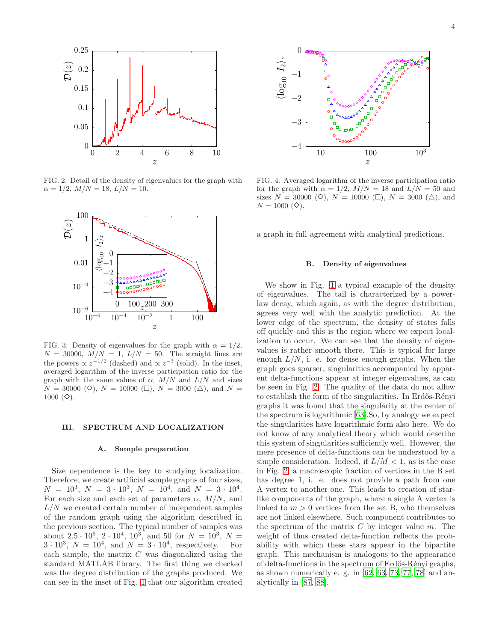

FIG. 2: Detail of the density of eigenvalues for the graph with  $\alpha = 1/2, M/N = 18, L/N = 10.$ 

<span id="page-3-0"></span>

<span id="page-3-1"></span>FIG. 3: Density of eigenvalues for the graph with  $\alpha = 1/2$ ,  $N = 30000, M/N = 1, L/N = 50$ . The straight lines are the powers  $\propto z^{-1/2}$  (dashed) and  $\propto z^{-3}$  (solid). In the inset, averaged logarithm of the inverse participation ratio for the graph with the same values of  $\alpha$ ,  $M/N$  and  $L/N$  and sizes  $N = 30000$  (○),  $N = 10000$  (□),  $N = 3000$  (△), and  $N =$ 1000  $(\diamondsuit)$ .

# III. SPECTRUM AND LOCALIZATION

## A. Sample preparation

Size dependence is the key to studying localization. Therefore, we create artificial sample graphs of four sizes,  $N = 10^3$ ,  $N = 3 \cdot 10^3$ ,  $N = 10^4$ , and  $N = 3 \cdot 10^4$ . For each size and each set of parameters  $\alpha$ ,  $M/N$ , and  $L/N$  we created certain number of independent samples of the random graph using the algorithm described in the previous section. The typical number of samples was about  $2.5 \cdot 10^5$ ,  $2 \cdot 10^4$ ,  $10^3$ , and  $50$  for  $N = 10^3$ ,  $N =$  $3 \cdot 10^3$ ,  $N = 10^4$ , and  $N = 3 \cdot 10^4$ , respectively. For each sample, the matrix  $C$  was diagonalized using the standard MATLAB library. The first thing we checked was the degree distribution of the graphs produced. We can see in the inset of Fig. [1](#page-2-0) that our algorithm created



<span id="page-3-2"></span>FIG. 4: Averaged logarithm of the inverse participation ratio for the graph with  $\alpha = 1/2$ ,  $M/N = 18$  and  $L/N = 50$  and sizes  $N = 30000$  (○),  $N = 10000$  (□),  $N = 3000$  (△), and  $N = 1000 \; (\diamondsuit).$ 

a graph in full agreement with analytical predictions.

### B. Density of eigenvalues

We show in Fig. [1](#page-2-0) a typical example of the density of eigenvalues. The tail is characterized by a powerlaw decay, which again, as with the degree distribution, agrees very well with the analytic prediction. At the lower edge of the spectrum, the density of states falls off quickly and this is the region where we expect localization to occur. We can see that the density of eigenvalues is rather smooth there. This is typical for large enough  $L/N$ , i. e. for dense enough graphs. When the graph goes sparser, singularities accompanied by apparent delta-functions appear at integer eigenvalues, as can be seen in Fig. [2.](#page-3-0) The quality of the data do not allow to establish the form of the singularities. In Erdős-Rényi graphs it was found that the singularity at the center of the spectrum is logarithmic [\[63\]](#page-14-24).So, by analogy we expect the singularities have logarithmic form also here. We do not know of any analytical theory which would describe this system of singularities sufficiently well. However, the mere presence of delta-functions can be understood by a simple consideration. Indeed, if  $L/M < 1$ , as is the case in Fig. [2,](#page-3-0) a macroscopic fraction of vertices in the B set has degree 1, i. e. does not provide a path from one A vertex to another one. This leads to creation of starlike components of the graph, where a single A vertex is linked to  $m > 0$  vertices from the set B, who themselves are not linked elsewhere. Such component contributes to the spectrum of the matrix  $C$  by integer value  $m$ . The weight of thus created delta-function reflects the probability with which these stars appear in the bipartite graph. This mechanism is analogous to the appearance of delta-functions in the spectrum of Erdős-Rényi graphs, as shown numerically e. g. in [\[62](#page-14-23), [63,](#page-14-24) [73,](#page-14-42) [77,](#page-14-43) [78](#page-14-44)] and analytically in [\[87,](#page-14-45) [88\]](#page-14-46).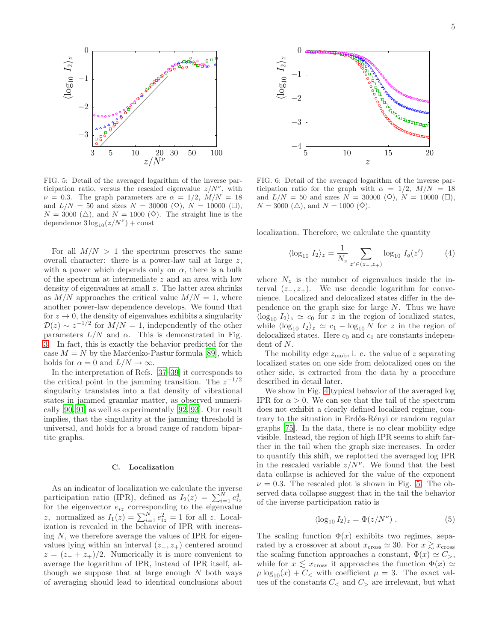

<span id="page-4-0"></span>FIG. 5: Detail of the averaged logarithm of the inverse participation ratio, versus the rescaled eigenvalue  $z/N^{\nu}$ , with  $\nu = 0.3$ . The graph parameters are  $\alpha = 1/2$ ,  $M/N = 18$ and  $L/N = 50$  and sizes  $N = 30000$  ( $\circ$ ),  $N = 10000$  ( $\circ$ ),  $N = 3000 \; (\triangle)$ , and  $N = 1000 \; (\diamond)$ . The straight line is the dependence  $3\log_{10}(z/N^{\nu}) + \text{const}$ 

For all  $M/N > 1$  the spectrum preserves the same overall character: there is a power-law tail at large z, with a power which depends only on  $\alpha$ , there is a bulk of the spectrum at intermediate z and an area with low density of eigenvalues at small z. The latter area shrinks as  $M/N$  approaches the critical value  $M/N = 1$ , where another power-law dependence develops. We found that for  $z \to 0$ , the density of eigenvalues exhibits a singularity  $\mathcal{D}(z) \sim z^{-1/2}$  for  $M/N = 1$ , independently of the other parameters  $L/N$  and  $\alpha$ . This is demonstrated in Fig. [3.](#page-3-1) In fact, this is exactly the behavior predicted for the case  $M = N$  by the Marc̆enko-Pastur formula [\[89\]](#page-14-47), which holds for  $\alpha = 0$  and  $L/N \to \infty$ .

In the interpretation of Refs. [\[37](#page-14-7)[–39\]](#page-14-8) it corresponds to the critical point in the jamming transition. The  $z^{-1/2}$ singularity translates into a flat density of vibrational states in jammed granular matter, as observed numerically [\[90](#page-14-48), [91](#page-14-49)] as well as experimentally [\[92,](#page-14-50) [93\]](#page-14-51). Our result implies, that the singularity at the jamming threshold is universal, and holds for a broad range of random bipartite graphs.

#### C. Localization

As an indicator of localization we calculate the inverse participation ratio (IPR), defined as  $I_2(z) = \sum_{i=1}^{N} e_{iz}^4$  for the eigenvector  $e_{iz}$  corresponding to the eigenvalue z, normalized as  $I_1(z) = \sum_{i=1}^{N} e_{iz}^2 = 1$  for all z. Localization is revealed in the behavior of IPR with increasing  $N$ , we therefore average the values of IPR for eigenvalues lying within an interval  $(z_-, z_+)$  centered around  $z = (z_{-} + z_{+})/2$ . Numerically it is more convenient to average the logarithm of IPR, instead of IPR itself, although we suppose that at large enough  $N$  both ways of averaging should lead to identical conclusions about



<span id="page-4-1"></span>FIG. 6: Detail of the averaged logarithm of the inverse participation ratio for the graph with  $\alpha = 1/2$ ,  $M/N = 18$ and  $L/N = 50$  and sizes  $N = 30000$  (○),  $N = 10000$  (□),  $N = 3000 \; (\triangle)$ , and  $N = 1000 \; (\diamondsuit)$ .

localization. Therefore, we calculate the quantity

$$
\langle \log_{10} I_2 \rangle_z = \frac{1}{N_z} \sum_{z' \in (z_-, z_+)} \log_{10} I_q(z') \tag{4}
$$

where  $N_z$  is the number of eigenvalues inside the interval  $(z_-, z_+)$ . We use decadic logarithm for convenience. Localized and delocalized states differ in the dependence on the graph size for large N. Thus we have  $\langle \log_{10} I_2 \rangle_z \simeq c_0$  for z in the region of localized states, while  $\langle \log_{10} I_2 \rangle_z \simeq c_1 - \log_{10} N$  for z in the region of delocalized states. Here  $c_0$  and  $c_1$  are constants independent of N.

The mobility edge  $z_{\text{mob}}$ , i. e. the value of z separating localized states on one side from delocalized ones on the other side, is extracted from the data by a procedure described in detail later.

We show in Fig. [4](#page-3-2) typical behavior of the averaged log IPR for  $\alpha > 0$ . We can see that the tail of the spectrum does not exhibit a clearly defined localized regime, contrary to the situation in Erdős-Rényi or random regular graphs [\[75](#page-14-31)]. In the data, there is no clear mobility edge visible. Instead, the region of high IPR seems to shift farther in the tail when the graph size increases. In order to quantify this shift, we replotted the averaged log IPR in the rescaled variable  $z/N^{\nu}$ . We found that the best data collapse is achieved for the value of the exponent  $\nu = 0.3$ . The rescaled plot is shown in Fig. [5.](#page-4-0) The observed data collapse suggest that in the tail the behavior of the inverse participation ratio is

<span id="page-4-2"></span>
$$
\langle \log_{10} I_2 \rangle_z = \Phi(z/N^{\nu}). \tag{5}
$$

The scaling function  $\Phi(x)$  exhibits two regimes, separated by a crossover at about  $x_{\text{cross}} \simeq 30$ . For  $x \gtrsim x_{\text{cross}}$ the scaling function approaches a constant,  $\Phi(x) \simeq C_>,$ while for  $x \leq x_{\text{cross}}$  it approaches the function  $\Phi(x) \simeq$  $\mu \log_{10}(x) + C_{\leq}$  with coefficient  $\mu = 3$ . The exact values of the constants  $C_{\le}$  and  $C_{\ge}$  are irrelevant, but what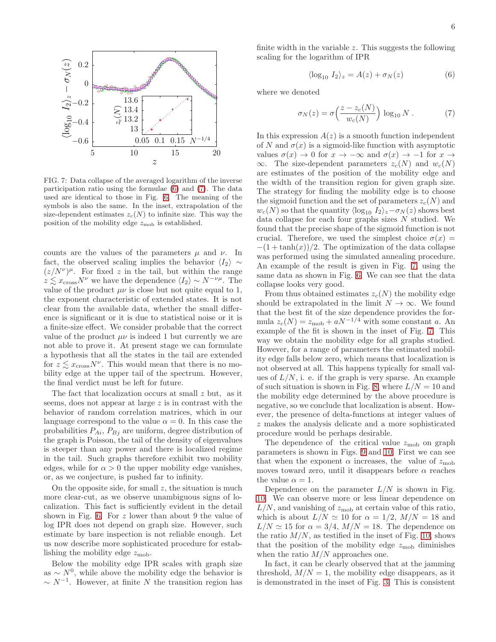

<span id="page-5-2"></span>FIG. 7: Data collapse of the averaged logarithm of the inverse participation ratio using the formulae [\(6\)](#page-5-0) and [\(7\)](#page-5-1). The data used are identical to those in Fig. [6.](#page-4-1) The meaning of the symbols is also the same. In the inset, extrapolation of the size-dependent estimates  $z_c(N)$  to infinite size. This way the position of the mobility edge  $z_{\text{mob}}$  is established.

counts are the values of the parameters  $\mu$  and  $\nu$ . In fact, the observed scaling implies the behavior  $\langle I_2 \rangle \sim$  $(z/N^{\nu})^{\mu}$ . For fixed z in the tail, but within the range  $z \lesssim x_{\text{cross}}N^{\nu}$  we have the dependence  $\langle I_2 \rangle \sim N^{-\nu\mu}$ . The value of the product  $\mu\nu$  is close but not quite equal to 1, the exponent characteristic of extended states. It is not clear from the available data, whether the small difference is significant or it is due to statistical noise or it is a finite-size effect. We consider probable that the correct value of the product  $\mu\nu$  is indeed 1 but currently we are not able to prove it. At present stage we can formulate a hypothesis that all the states in the tail are extended for  $z \lesssim x_{\text{cross}}N^{\nu}$ . This would mean that there is no mobility edge at the upper tail of the spectrum. However, the final verdict must be left for future.

The fact that localization occurs at small z but, as it seems, does not appear at large z is in contrast with the behavior of random correlation matrices, which in our language correspond to the value  $\alpha = 0$ . In this case the probabilities  $P_{Ai}$ ,  $P_{Bj}$  are uniform, degree distribution of the graph is Poisson, the tail of the density of eigenvalues is steeper than any power and there is localized regime in the tail. Such graphs therefore exhibit two mobility edges, while for  $\alpha > 0$  the upper mobility edge vanishes, or, as we conjecture, is pushed far to infinity.

On the opposite side, for small  $z$ , the situation is much more clear-cut, as we observe unambiguous signs of localization. This fact is sufficiently evident in the detail shown in Fig. [6.](#page-4-1) For z lower than about 9 the value of log IPR does not depend on graph size. However, such estimate by bare inspection is not reliable enough. Let us now describe more sophisticated procedure for establishing the mobility edge  $z_{\text{mob}}$ .

Below the mobility edge IPR scales with graph size as  $\sim N^0$ , while above the mobility edge the behavior is  $\sim N^{-1}$ . However, at finite N the transition region has

finite width in the variable  $z$ . This suggests the following scaling for the logarithm of IPR

<span id="page-5-0"></span>
$$
\langle \log_{10} I_2 \rangle_z = A(z) + \sigma_N(z) \tag{6}
$$

where we denoted

<span id="page-5-1"></span>
$$
\sigma_N(z) = \sigma\left(\frac{z - z_c(N)}{w_c(N)}\right) \log_{10} N . \tag{7}
$$

In this expression  $A(z)$  is a smooth function independent of N and  $\sigma(x)$  is a sigmoid-like function with asymptotic values  $\sigma(x) \to 0$  for  $x \to -\infty$  and  $\sigma(x) \to -1$  for  $x \to$  $\infty$ . The size-dependent parameters  $z_c(N)$  and  $w_c(N)$ are estimates of the position of the mobility edge and the width of the transition region for given graph size. The strategy for finding the mobility edge is to choose the sigmoid function and the set of parameters  $z_c(N)$  and  $w_c(N)$  so that the quantity  $\langle \log_{10} I_2 \rangle_z - \sigma_N(z)$  shows best data collapse for each four graphs sizes  $N$  studied. We found that the precise shape of the sigmoid function is not crucial. Therefore, we used the simplest choice  $\sigma(x)$  =  $-(1 + \tanh(x))/2$ . The optimization of the data collapse was performed using the simulated annealing procedure. An example of the result is given in Fig. [7,](#page-5-2) using the same data as shown in Fig. [6.](#page-4-1) We can see that the data collapse looks very good.

From thus obtained estimates  $z_c(N)$  the mobility edge should be extrapolated in the limit  $N \to \infty$ . We found that the best fit of the size dependence provides the formula  $z_c(N) = z_{\text{mob}} + aN^{-1/4}$  with some constant a. An example of the fit is shown in the inset of Fig. [7.](#page-5-2) This way we obtain the mobility edge for all graphs studied. However, for a range of parameters the estimated mobility edge falls below zero, which means that localization is not observed at all. This happens typically for small values of  $L/N$ , i. e. if the graph is very sparse. An example of such situation is shown in Fig. [8,](#page-6-0) where  $L/N = 10$  and the mobility edge determined by the above procedure is negative, so we conclude that localization is absent. However, the presence of delta-functions at integer values of z makes the analysis delicate and a more sophisticated procedure would be perhaps desirable.

The dependence of the critical value  $z_{\text{mob}}$  on graph parameters is shown in Figs. [9](#page-6-1) and [10.](#page-6-2) First we can see that when the exponent  $\alpha$  increases, the value of  $z_{\text{mob}}$ moves toward zero, until it disappears before  $\alpha$  reaches the value  $\alpha = 1$ .

Dependence on the parameter  $L/N$  is shown in Fig. [10.](#page-6-2) We can observe more or less linear dependence on  $L/N$ , and vanishing of  $z_{\text{mob}}$  at certain value of this ratio, which is about  $L/N \simeq 10$  for  $\alpha = 1/2$ ,  $M/N = 18$  and  $L/N \simeq 15$  for  $\alpha = 3/4$ ,  $M/N = 18$ . The dependence on the ratio  $M/N$ , as testified in the inset of Fig. [10,](#page-6-2) shows that the position of the mobility edge  $z_{\text{mob}}$  diminishes when the ratio  $M/N$  approaches one.

In fact, it can be clearly observed that at the jamming threshold,  $M/N = 1$ , the mobility edge disappears, as it is demonstrated in the inset of Fig. [3.](#page-3-1) This is consistent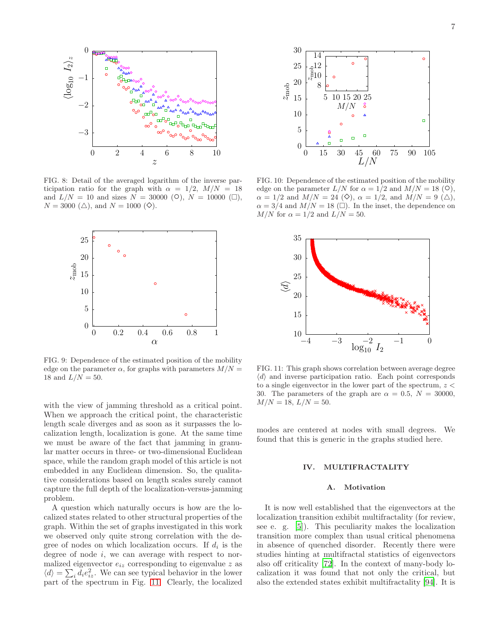

<span id="page-6-0"></span>FIG. 8: Detail of the averaged logarithm of the inverse participation ratio for the graph with  $\alpha = 1/2$ ,  $M/N = 18$ and  $L/N = 10$  and sizes  $N = 30000$  (○),  $N = 10000$  (□),  $N = 3000 \; (\triangle)$ , and  $N = 1000 \; (\diamondsuit)$ .



<span id="page-6-1"></span>FIG. 9: Dependence of the estimated position of the mobility edge on the parameter  $\alpha$ , for graphs with parameters  $M/N =$ 18 and  $L/N = 50$ .

with the view of jamming threshold as a critical point. When we approach the critical point, the characteristic length scale diverges and as soon as it surpasses the localization length, localization is gone. At the same time we must be aware of the fact that jamming in granular matter occurs in three- or two-dimensional Euclidean space, while the random graph model of this article is not embedded in any Euclidean dimension. So, the qualitative considerations based on length scales surely cannot capture the full depth of the localization-versus-jamming problem.

A question which naturally occurs is how are the localized states related to other structural properties of the graph. Within the set of graphs investigated in this work we observed only quite strong correlation with the degree of nodes on which localization occurs. If  $d_i$  is the degree of node  $i$ , we can average with respect to normalized eigenvector  $e_{iz}$  corresponding to eigenvalue z as  $\langle d \rangle = \sum_i d_i e_{iz}^2$ . We can see typical behavior in the lower part of the spectrum in Fig. [11.](#page-6-3) Clearly, the localized



<span id="page-6-2"></span>FIG. 10: Dependence of the estimated position of the mobility edge on the parameter  $L/N$  for  $\alpha = 1/2$  and  $M/N = 18$  (°),  $\alpha = 1/2$  and  $M/N = 24 \; (\diamondsuit), \alpha = 1/2$ , and  $M/N = 9 \; (\triangle),$  $\alpha = 3/4$  and  $M/N = 18$  ( $\square$ ). In the inset, the dependence on  $M/N$  for  $\alpha = 1/2$  and  $L/N = 50$ .



<span id="page-6-3"></span>FIG. 11: This graph shows correlation between average degree  $\langle d \rangle$  and inverse participation ratio. Each point corresponds to a single eigenvector in the lower part of the spectrum,  $z \leq$ 30. The parameters of the graph are  $\alpha = 0.5$ ,  $N = 30000$ ,  $M/N = 18, L/N = 50.$ 

modes are centered at nodes with small degrees. We found that this is generic in the graphs studied here.

# IV. MULTIFRACTALITY

### A. Motivation

It is now well established that the eigenvectors at the localization transition exhibit multifractality (for review, see e. g. [\[5\]](#page-13-2)). This peculiarity makes the localization transition more complex than usual critical phenomena in absence of quenched disorder. Recently there were studies hinting at multifractal statistics of eigenvectors also off criticality [\[72\]](#page-14-34). In the context of many-body localization it was found that not only the critical, but also the extended states exhibit multifractality [\[94](#page-14-52)]. It is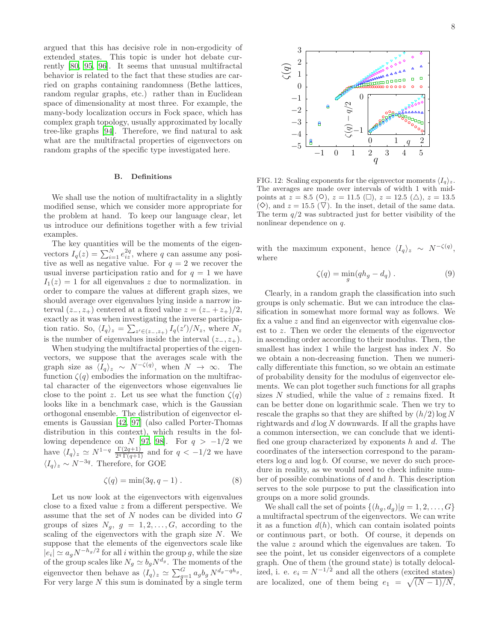argued that this has decisive role in non-ergodicity of extended states. This topic is under hot debate currently [\[80,](#page-14-35) [95](#page-14-53), [96\]](#page-15-0). It seems that unusual multifractal behavior is related to the fact that these studies are carried on graphs containing randomness (Bethe lattices, random regular graphs, etc.) rather than in Euclidean space of dimensionality at most three. For example, the many-body localization occurs in Fock space, which has complex graph topology, usually approximated by locally tree-like graphs [\[94\]](#page-14-52). Therefore, we find natural to ask what are the multifractal properties of eigenvectors on random graphs of the specific type investigated here.

### B. Definitions

We shall use the notion of multifractality in a slightly modified sense, which we consider more appropriate for the problem at hand. To keep our language clear, let us introduce our definitions together with a few trivial examples.

The key quantities will be the moments of the eigenvectors  $I_q(z) = \sum_{i=1}^{N} e_{iz}^{2q}$ , where q can assume any positive as well as negative value. For  $q = 2$  we recover the usual inverse participation ratio and for  $q = 1$  we have  $I_1(z) = 1$  for all eigenvalues z due to normalization. in order to compare the values at different graph sizes, we should average over eigenvalues lying inside a narrow interval  $(z_-, z_+)$  centered at a fixed value  $z = (z_- + z_+)/2$ , exactly as it was when investigating the inverse participation ratio. So,  $\langle I_q \rangle_z = \sum_{z' \in (z_-, z_+)} I_q(z')/N_z$ , where  $N_z$ is the number of eigenvalues inside the interval  $(z_-, z_+)$ .

When studying the multifractal properties of the eigenvectors, we suppose that the averages scale with the graph size as  $\langle I_q \rangle_z \sim N^{-\zeta(q)}$ , when  $N \to \infty$ . The function  $\zeta(q)$  embodies the information on the multifractal character of the eigenvectors whose eigenvalues lie close to the point z. Let us see what the function  $\zeta(q)$ looks like in a benchmark case, which is the Gaussian orthogonal ensemble. The distribution of eigenvector elements is Gaussian [\[42,](#page-14-11) [97\]](#page-15-1) (also called Porter-Thomas distribution in this context), which results in the fol-lowing dependence on N [\[97](#page-15-1), [98\]](#page-15-2). For  $q > -1/2$  we have  $\langle I_q \rangle_z \simeq N^{1-q} \frac{\Gamma(2q+1)}{2^q \Gamma(q+1)}$  and for  $q < -1/2$  we have  $\langle I_q \rangle_z \sim N^{-3q}$ . Therefore, for GOE

<span id="page-7-1"></span>
$$
\zeta(q) = \min(3q, q - 1). \tag{8}
$$

Let us now look at the eigenvectors with eigenvalues close to a fixed value z from a different perspective. We assume that the set of N nodes can be divided into G groups of sizes  $N_g$ ,  $g = 1, 2, \ldots, G$ , according to the scaling of the eigenvectors with the graph size  $N$ . We suppose that the elements of the eigenvectors scale like  $|e_i| \simeq a_g N^{-h_g/2}$  for all i within the group g, while the size of the group scales like  $N_g \simeq b_g N^{d_g}$ . The moments of the eigenvector then behave as  $\langle I_q \rangle_z \simeq \sum_{g=1}^G a_g b_g N^{d_g - q h_g}$ . For very large  $N$  this sum is dominated by a single term



<span id="page-7-0"></span>FIG. 12: Scaling exponents for the eigenvector moments  $\langle I_q \rangle_z$ . The averages are made over intervals of width 1 with midpoints at  $z = 8.5$  (0),  $z = 11.5$  ( $\Box$ ),  $z = 12.5$  ( $\triangle$ ),  $z = 13.5$  $(\diamondsuit)$ , and  $z = 15.5$   $(\nabla)$ . In the inset, detail of the same data. The term  $q/2$  was subtracted just for better visibility of the nonlinear dependence on q.

with the maximum exponent, hence  $\langle I_q \rangle_z \sim N^{-\zeta(q)}$ , where

<span id="page-7-2"></span>
$$
\zeta(q) = \min_{g} (q h_g - d_q) . \tag{9}
$$

Clearly, in a random graph the classification into such groups is only schematic. But we can introduce the classification in somewhat more formal way as follows. We fix a value z and find an eigenvector with eigenvalue closest to z. Then we order the elements of the eigenvector in ascending order according to their modulus. Then, the smallest has index 1 while the largest has index N. So we obtain a non-decreasing function. Then we numerically differentiate this function, so we obtain an estimate of probability density for the modulus of eigenvector elements. We can plot together such functions for all graphs sizes  $N$  studied, while the value of  $z$  remains fixed. It can be better done on logarithmic scale. Then we try to rescale the graphs so that they are shifted by  $(h/2)$  log N rightwards and d log N downwards. If all the graphs have a common intersection, we can conclude that we identified one group characterized by exponents  $h$  and  $d$ . The coordinates of the intersection correspond to the parameters  $\log a$  and  $\log b$ . Of course, we never do such procedure in reality, as we would need to check infinite number of possible combinations of  $d$  and  $h$ . This description serves to the sole purpose to put the classification into groups on a more solid grounds.

We shall call the set of points  $\{(h_q, d_q)|g = 1, 2, \ldots, G\}$ a multifractal spectrum of the eigenvectors. We can write it as a function  $d(h)$ , which can contain isolated points or continuous part, or both. Of course, it depends on the value z around which the eigenvalues are taken. To see the point, let us consider eigenvectors of a complete graph. One of them (the ground state) is totally delocalized, i. e.  $e_i = N^{-1/2}$  and all the others (excited states) are localized, one of them being  $e_1 = \sqrt{(N-1)/N}$ ,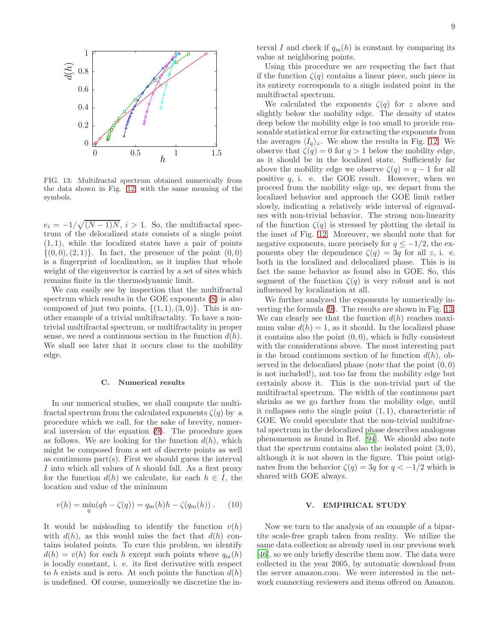

<span id="page-8-0"></span>FIG. 13: Multifractal spectrum obtained numerically from the data shown in Fig. [12,](#page-7-0) with the same meaning of the symbols.

 $e_i = -1/\sqrt{(N-1)N}, i > 1$ . So, the multifractal spectrum of the delocalized state consists of a single point  $(1, 1)$ , while the localized states have a pair of points  $\{(0,0), (2, 1)\}.$  In fact, the presence of the point  $(0, 0)$ is a fingerprint of localization, as it implies that whole weight of the eigenvector is carried by a set of sites which remains finite in the thermodynamic limit.

We can easily see by inspection that the multifractal spectrum which results in the GOE exponents [\(8\)](#page-7-1) is also composed of just two points,  $\{(1, 1), (3, 0)\}.$  This is another example of a trivial multifractality. To have a nontrivial multifractal spectrum, or multifractality in proper sense, we need a continuous section in the function  $d(h)$ . We shall see later that it occurs close to the mobility edge.

### C. Numerical results

In our numerical studies, we shall compute the multifractal spectrum from the calculated exponents  $\zeta(q)$  by a procedure which we call, for the sake of brevity, numerical inversion of the equation [\(9\)](#page-7-2). The procedure goes as follows. We are looking for the function  $d(h)$ , which might be composed from a set of discrete points as well as continuous part $(s)$ . First we should guess the interval I into which all values of h should fall. As a first proxy for the function  $d(h)$  we calculate, for each  $h \in I$ , the location and value of the minimum

$$
v(h) = \min_{q} (qh - \zeta(q)) = q_m(h)h - \zeta(q_m(h)) . \tag{10}
$$

It would be misleading to identify the function  $v(h)$ with  $d(h)$ , as this would miss the fact that  $d(h)$  contains isolated points. To cure this problem, we identify  $d(h) = v(h)$  for each h except such points where  $q_m(h)$ is locally constant, i. e. its first derivative with respect to h exists and is zero. At such points the function  $d(h)$ is undefined. Of course, numerically we discretize the interval I and check if  $q_m(h)$  is constant by comparing its value at neighboring points.

Using this procedure we are respecting the fact that if the function  $\zeta(q)$  contains a linear piece, such piece in its entirety corresponds to a single isolated point in the multifractal spectrum.

We calculated the exponents  $\zeta(q)$  for z above and slightly below the mobility edge. The density of states deep below the mobility edge is too small to provide reasonable statistical error for extracting the exponents from the averages  $\langle I_q \rangle_z$ . We show the results in Fig. [12.](#page-7-0) We observe that  $\zeta(q) = 0$  for  $q > 1$  below the mobility edge, as it should be in the localized state. Sufficiently far above the mobility edge we observe  $\zeta(q) = q - 1$  for all positive  $q$ , i. e. the GOE result. However, when we proceed from the mobility edge up, we depart from the localized behavior and approach the GOE limit rather slowly, indicating a relatively wide interval of eigenvalues with non-trivial behavior. The strong non-linearity of the function  $\zeta(q)$  is stressed by plotting the detail in the inset of Fig. [12.](#page-7-0) Moreover, we should note that for negative exponents, more precisely for  $q \leq -1/2$ , the exponents obey the dependence  $\zeta(q) = 3q$  for all z, i. e. both in the localized and delocalized phase. This is in fact the same behavior as found also in GOE. So, this segment of the function  $\zeta(q)$  is very robust and is not influenced by localization at all.

We further analyzed the exponents by numerically inverting the formula [\(9\)](#page-7-2). The results are shown in Fig. [13.](#page-8-0) We can clearly see that the function  $d(h)$  reaches maximum value  $d(h) = 1$ , as it should. In the localized phase it contains also the point  $(0, 0)$ , which is fully consistent with the considerations above. The most interesting part is the broad continuous section of he function  $d(h)$ , observed in the delocalized phase (note that the point  $(0, 0)$ ) is not included!), not too far from the mobility edge but certainly above it. This is the non-trivial part of the multifractal spectrum. The width of the continuous part shrinks as we go farther from the mobility edge, until it collapses onto the single point  $(1, 1)$ , characteristic of GOE. We could speculate that the non-trivial multifractal spectrum in the delocalized phase describes analogous phenomenon as found in Ref. [\[94](#page-14-52)]. We should also note that the spectrum contains also the isolated point  $(3, 0)$ , although it is not shown in the figure. This point originates from the behavior  $\zeta(q) = 3q$  for  $q < -1/2$  which is shared with GOE always.

### V. EMPIRICAL STUDY

Now we turn to the analysis of an example of a bipartite scale-free graph taken from reality. We utilize the same data collection as already used in our previous work [\[46\]](#page-14-13), so we only briefly describe them now. The data were collected in the year 2005, by automatic download from the server amazon.com. We were interested in the network connecting reviewers and items offered on Amazon.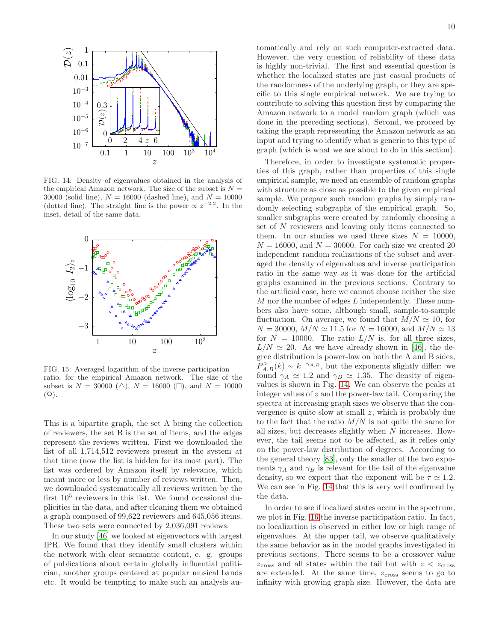

<span id="page-9-0"></span>FIG. 14: Density of eigenvalues obtained in the analysis of the empirical Amazon network. The size of the subset is  $N =$ 30000 (solid line),  $N = 16000$  (dashed line), and  $N = 10000$ (dotted line). The straight line is the power  $\propto z^{-2.2}$ . In the inset, detail of the same data.



<span id="page-9-1"></span>FIG. 15: Averaged logarithm of the inverse participation ratio, for the empirical Amazon network. The size of the subset is  $N = 30000 \ (\triangle)$ ,  $N = 16000 \ (\square)$ , and  $N = 10000$  $(O).$ 

This is a bipartite graph, the set A being the collection of reviewers, the set B is the set of items, and the edges represent the reviews written. First we downloaded the list of all 1,714,512 reviewers present in the system at that time (now the list is hidden for its most part). The list was ordered by Amazon itself by relevance, which meant more or less by number of reviews written. Then, we downloaded systematically all reviews written by the first  $10<sup>5</sup>$  reviewers in this list. We found occasional duplicities in the data, and after cleaning them we obtained a graph composed of 99,622 reviewers and 645,056 items. These two sets were connected by 2,036,091 reviews.

In our study [\[46](#page-14-13)] we looked at eigenvectors with largest IPR. We found that they identify small clusters within the network with clear semantic content, e. g. groups of publications about certain globally influential politician, another groups centered at popular musical bands etc. It would be tempting to make such an analysis au-

tomatically and rely on such computer-extracted data. However, the very question of reliability of these data is highly non-trivial. The first and essential question is whether the localized states are just casual products of the randomness of the underlying graph, or they are specific to this single empirical network. We are trying to contribute to solving this question first by comparing the Amazon network to a model random graph (which was done in the preceding sections). Second, we proceed by taking the graph representing the Amazon network as an input and trying to identify what is generic to this type of graph (which is what we are about to do in this section).

Therefore, in order to investigate systematic properties of this graph, rather than properties of this single empirical sample, we need an ensemble of random graphs with structure as close as possible to the given empirical sample. We prepare such random graphs by simply randomly selecting subgraphs of the empirical graph. So, smaller subgraphs were created by randomly choosing a set of N reviewers and leaving only items connected to them. In our studies we used three sizes  $N = 10000$ ,  $N = 16000$ , and  $N = 30000$ . For each size we created 20 independent random realizations of the subset and averaged the density of eigenvalues and inverse participation ratio in the same way as it was done for the artificial graphs examined in the previous sections. Contrary to the artificial case, here we cannot choose neither the size M nor the number of edges L independently. These numbers also have some, although small, sample-to-sample fluctuation. On average, we found that  $M/N \simeq 10$ , for  $N = 30000, M/N \simeq 11.5$  for  $N = 16000$ , and  $M/N \simeq 13$ for  $N = 10000$ . The ratio  $L/N$  is, for all three sizes,  $L/N \simeq 20$ . As we have already shown in [\[46\]](#page-14-13), the degree distribution is power-law on both the A and B sides,  $\widetilde{P}_{A,B}^{>}(k) \sim k^{-\gamma_{A,B}}$ , but the exponents slightly differ: we found  $\gamma_A \simeq 1.2$  and  $\gamma_B \simeq 1.35$ . The density of eigenvalues is shown in Fig. [14.](#page-9-0) We can observe the peaks at integer values of z and the power-law tail. Comparing the spectra at increasing graph sizes we observe that the convergence is quite slow at small z, which is probably due to the fact that the ratio  $M/N$  is not quite the same for all sizes, but decreases slightly when N increases. However, the tail seems not to be affected, as it relies only on the power-law distribution of degrees. According to the general theory [\[83](#page-14-38)], only the smaller of the two exponents  $\gamma_A$  and  $\gamma_B$  is relevant for the tail of the eigenvalue density, so we expect that the exponent will be  $\tau \simeq 1.2$ . We can see in Fig. [14](#page-9-0) that this is very well confirmed by the data.

In order to see if localized states occur in the spectrum, we plot in Fig. [16](#page-10-0) the inverse participation ratio. In fact, no localization is observed in either low or high range of eigenvalues. At the upper tail, we observe qualitatively the same behavior as in the model graphs investigated in previous sections. There seems to be a crossover value  $z_{\rm cross}$  and all states within the tail but with  $z < z_{\rm cross}$ are extended. At the same time,  $z_{\rm cross}$  seems to go to infinity with growing graph size. However, the data are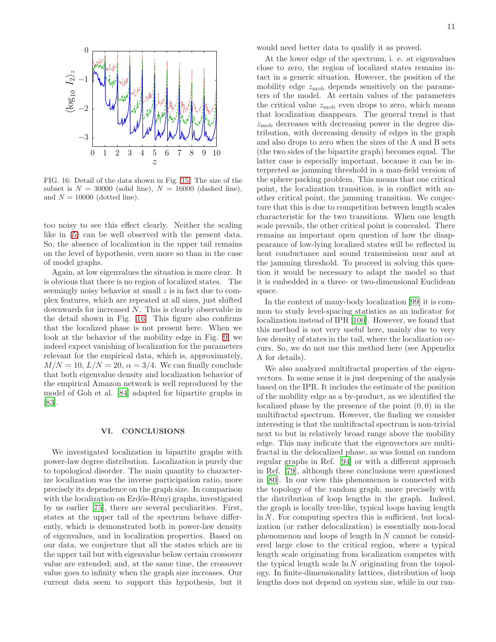

<span id="page-10-0"></span>FIG. 16: Detail of the data shown in Fig. [15.](#page-9-1) The size of the subset is  $N = 30000$  (solid line),  $N = 16000$  (dashed line), and  $N = 10000$  (dotted line).

too noisy to see this effect clearly. Neither the scaling like in [\(5\)](#page-4-2) can be well observed with the present data. So, the absence of localization in the upper tail remains on the level of hypothesis, even more so than in the case of model graphs.

Again, at low eigenvalues the situation is more clear. It is obvious that there is no region of localized states. The seemingly noisy behavior at small  $z$  is in fact due to complex features, which are repeated at all sizes, just shifted downwards for increased N. This is clearly observable in the detail shown in Fig. [16.](#page-10-0) This figure also confirms that the localized phase is not present here. When we look at the behavior of the mobility edge in Fig. [9,](#page-6-1) we indeed expect vanishing of localization for the parameters relevant for the empirical data, which is, approximately,  $M/N = 10, L/N = 20, \alpha = 3/4.$  We can finally conclude that both eigenvalue density and localization behavior of the empirical Amazon network is well reproduced by the model of Goh et al. [\[84](#page-14-39)] adapted for bipartite graphs in [\[83\]](#page-14-38).

#### VI. CONCLUSIONS

We investigated localization in bipartite graphs with power-law degree distribution. Localization is purely due to topological disorder. The main quantity to characterize localization was the inverse participation ratio, more precisely its dependence on the graph size. In comparison with the localization on Erdős-Rényi graphs, investigated by us earlier [\[75](#page-14-31)], there are several peculiarities. First, states at the upper tail of the spectrum behave differently, which is demonstrated both in power-law density of eigenvalues, and in localization properties. Based on our data, we conjecture that all the states which are in the upper tail but with eigenvalue below certain crossover value are extended; and, at the same time, the crossover value goes to infinity when the graph size increases. Our current data seem to support this hypothesis, but it

would need better data to qualify it as proved.

At the lower edge of the spectrum, i. e. at eigenvalues close to zero, the region of localized states remains intact in a generic situation. However, the position of the mobility edge  $z_{\text{mob}}$  depends sensitively on the parameters of the model. At certain values of the parameters the critical value  $z_{\text{mob}}$  even drops to zero, which means that localization disappears. The general trend is that  $z<sub>mob</sub> decreases with decreasing power in the degree  $dis$$ tribution, with decreasing density of edges in the graph and also drops to zero when the sizes of the A and B sets (the two sides of the bipartite graph) becomes equal. The latter case is especially important, because it can be interpreted as jamming threshold in a man-field version of the sphere packing problem. This means that one critical point, the localization transition, is in conflict with another critical point, the jamming transition. We conjecture that this is due to competition between length scales characteristic for the two transitions. When one length scale prevails, the other critical point is concealed. There remains an important open question of how the disappearance of low-lying localized states will be reflected in heat conductance and sound transmission near and at the jamming threshold. To proceed in solving this question it would be necessary to adapt the model so that it is embedded in a three- or two-dimensional Euclidean space.

In the context of many-body localization [\[99](#page-15-3)] it is common to study level-spacing statistics as an indicator for localization instead of IPR [\[100\]](#page-15-4). However, we found that this method is not very useful here, mainly due to very low density of states in the tail, where the localization occurs. So, we do not use this method here (see Appendix A for details).

We also analyzed multifractal properties of the eigenvectors. In some sense it is just deepening of the analysis based on the IPR. It includes the estimate of the position of the mobility edge as a by-product, as we identified the localized phase by the presence of the point  $(0, 0)$  in the multifractal spectrum. However, the finding we consider interesting is that the multifractal spectrum is non-trivial next to but in relatively broad range above the mobility edge. This may indicate that the eigenvectors are multifractal in the delocalized phase, as was found on random regular graphs in Ref. [\[94\]](#page-14-52) or with a different approach in Ref. [\[79\]](#page-14-54), although these conclusions were questioned in [\[80\]](#page-14-35). In our view this phenomenon is connected with the topology of the random graph, more precisely with the distribution of loop lengths in the graph. Indeed, the graph is locally tree-like, typical loops having length ln N. For computing spectra this is sufficient, but localization (or rather delocalization) is essentially non-local phenomenon and loops of length  $\ln N$  cannot be considered large close to the critical region, where a typical length scale originating from localization competes with the typical length scale  $\ln N$  originating from the topology. In finite-dimensionality lattices, distribution of loop lengths does not depend on system size, while in our ran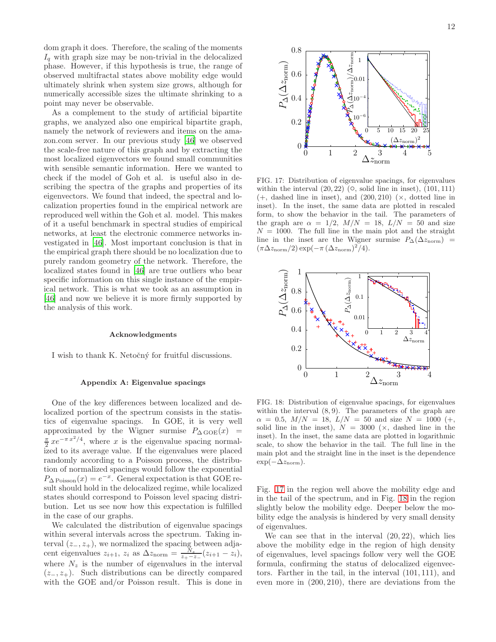dom graph it does. Therefore, the scaling of the moments  $I_q$  with graph size may be non-trivial in the delocalized phase. However, if this hypothesis is true, the range of observed multifractal states above mobility edge would ultimately shrink when system size grows, although for numerically accessible sizes the ultimate shrinking to a point may never be observable.

As a complement to the study of artificial bipartite graphs, we analyzed also one empirical bipartite graph, namely the network of reviewers and items on the amazon.com server. In our previous study [\[46\]](#page-14-13) we observed the scale-free nature of this graph and by extracting the most localized eigenvectors we found small communities with sensible semantic information. Here we wanted to check if the model of Goh et al. is useful also in describing the spectra of the graphs and properties of its eigenvectors. We found that indeed, the spectral and localization properties found in the empirical network are reproduced well within the Goh et al. model. This makes of it a useful benchmark in spectral studies of empirical networks, at least the electronic commerce networks investigated in [\[46](#page-14-13)]. Most important conclusion is that in the empirical graph there should be no localization due to purely random geometry of the network. Therefore, the localized states found in [\[46](#page-14-13)] are true outliers who bear specific information on this single instance of the empirical network. This is what we took as an assumption in [\[46\]](#page-14-13) and now we believe it is more firmly supported by the analysis of this work.

### Acknowledgments

I wish to thank K. Netočný for fruitful discussions.

#### Appendix A: Eigenvalue spacings

One of the key differences between localized and delocalized portion of the spectrum consists in the statistics of eigenvalue spacings. In GOE, it is very well approximated by the Wigner surmise  $P_{\Delta \text{ GOE}}(x)$  =  $\frac{\pi}{2}xe^{-\pi x^2/4}$ , where x is the eigenvalue spacing normalized to its average value. If the eigenvalues were placed randomly according to a Poisson process, the distribution of normalized spacings would follow the exponential  $P_{\Delta \text{ Poisson}}(x) = e^{-x}$ . General expectation is that GOE result should hold in the delocalized regime, while localized states should correspond to Poisson level spacing distribution. Let us see now how this expectation is fulfilled in the case of our graphs.

We calculated the distribution of eigenvalue spacings within several intervals across the spectrum. Taking interval  $(z_-, z_+)$ , we normalized the spacing between adjacent eigenvalues  $z_{i+1}$ ,  $z_i$  as  $\Delta z$ <sub>norm</sub> =  $\frac{N_z}{z_+-z_-}(z_{i+1}-z_i)$ , where  $N_z$  is the number of eigenvalues in the interval  $(z_-, z_+)$ . Such distributions can be directly compared with the GOE and/or Poisson result. This is done in



<span id="page-11-0"></span>FIG. 17: Distribution of eigenvalue spacings, for eigenvalues within the interval  $(20, 22)$   $(°, solid line in inset), (101, 111)$ (+, dashed line in inset), and (200, 210) (×, dotted line in inset). In the inset, the same data are plotted in rescaled form, to show the behavior in the tail. The parameters of the graph are  $\alpha = 1/2$ ,  $M/N = 18$ ,  $L/N = 50$  and size  $N = 1000$ . The full line in the main plot and the straight line in the inset are the Wigner surmise  $P_{\Delta}(\Delta z_{\text{norm}})$  =  $(\pi \Delta z_{\text{norm}}/2) \exp(-\pi (\Delta z_{\text{norm}})^2/4).$ 



<span id="page-11-1"></span>FIG. 18: Distribution of eigenvalue spacings, for eigenvalues within the interval  $(8, 9)$ . The parameters of the graph are  $\alpha = 0.5, M/N = 18, L/N = 50$  and size  $N = 1000$  (+, solid line in the inset),  $N = 3000$  ( $\times$ , dashed line in the inset). In the inset, the same data are plotted in logarithmic scale, to show the behavior in the tail. The full line in the main plot and the straight line in the inset is the dependence  $\exp(-\Delta z_{\text{norm}}).$ 

Fig. [17](#page-11-0) in the region well above the mobility edge and in the tail of the spectrum, and in Fig. [18](#page-11-1) in the region slightly below the mobility edge. Deeper below the mobility edge the analysis is hindered by very small density of eigenvalues.

We can see that in the interval  $(20, 22)$ , which lies above the mobility edge in the region of high density of eigenvalues, level spacings follow very well the GOE formula, confirming the status of delocalized eigenvectors. Farther in the tail, in the interval (101, 111), and even more in (200, 210), there are deviations from the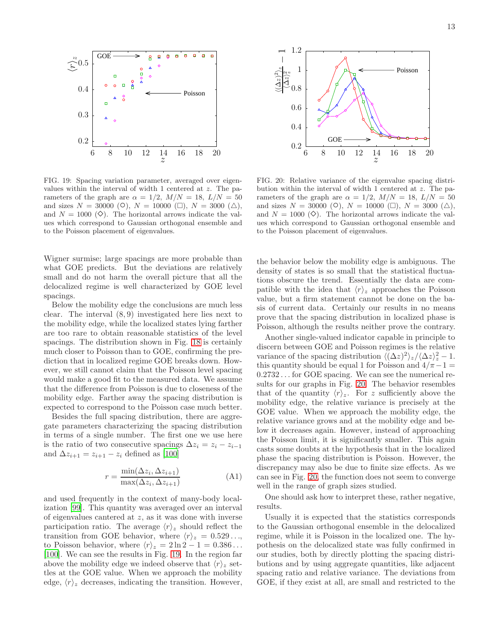

<span id="page-12-0"></span>FIG. 19: Spacing variation parameter, averaged over eigenvalues within the interval of width 1 centered at z. The parameters of the graph are  $\alpha = 1/2$ ,  $M/N = 18$ ,  $L/N = 50$ and sizes  $N = 30000$  (○),  $N = 10000$  (□),  $N = 3000$  (△), and  $N = 1000 \, (\diamondsuit)$ . The horizontal arrows indicate the values which correspond to Gaussian orthogonal ensemble and to the Poisson placement of eigenvalues.

Wigner surmise; large spacings are more probable than what GOE predicts. But the deviations are relatively small and do not harm the overall picture that all the delocalized regime is well characterized by GOE level spacings.

Below the mobility edge the conclusions are much less clear. The interval (8, 9) investigated here lies next to the mobility edge, while the localized states lying farther are too rare to obtain reasonable statistics of the level spacings. The distribution shown in Fig. [18](#page-11-1) is certainly much closer to Poisson than to GOE, confirming the prediction that in localized regime GOE breaks down. However, we still cannot claim that the Poisson level spacing would make a good fit to the measured data. We assume that the difference from Poisson is due to closeness of the mobility edge. Farther away the spacing distribution is expected to correspond to the Poisson case much better.

Besides the full spacing distribution, there are aggregate parameters characterizing the spacing distribution in terms of a single number. The first one we use here is the ratio of two consecutive spacings  $\Delta z_i = z_i - z_{i-1}$ and  $\Delta z_{i+1} = z_{i+1} - z_i$  defined as [\[100\]](#page-15-4)

$$
r = \frac{\min(\Delta z_i, \Delta z_{i+1})}{\max(\Delta z_i, \Delta z_{i+1})}
$$
(A1)

and used frequently in the context of many-body localization [\[99](#page-15-3)]. This quantity was averaged over an interval of eigenvalues cantered at z, as it was done with inverse participation ratio. The average  $\langle r \rangle_z$  should reflect the transition from GOE behavior, where  $\langle r \rangle_z = 0.529 \ldots$ , to Poisson behavior, where  $\langle r \rangle_z = 2 \ln 2 - 1 = 0.386 \dots$ [\[100\]](#page-15-4). We can see the results in Fig. [19.](#page-12-0) In the region far above the mobility edge we indeed observe that  $\langle r \rangle_z$  settles at the GOE value. When we approach the mobility edge,  $\langle r \rangle_z$  decreases, indicating the transition. However,



<span id="page-12-1"></span>FIG. 20: Relative variance of the eigenvalue spacing distribution within the interval of width 1 centered at z. The parameters of the graph are  $\alpha = 1/2$ ,  $M/N = 18$ ,  $L/N = 50$ and sizes  $N = 30000$  (○),  $N = 10000$  (□),  $N = 3000$  (△), and  $N = 1000 \, (\diamondsuit)$ . The horizontal arrows indicate the values which correspond to Gaussian orthogonal ensemble and to the Poisson placement of eigenvalues.

the behavior below the mobility edge is ambiguous. The density of states is so small that the statistical fluctuations obscure the trend. Essentially the data are compatible with the idea that  $\langle r \rangle_z$  approaches the Poisson value, but a firm statement cannot be done on the basis of current data. Certainly our results in no means prove that the spacing distribution in localized phase is Poisson, although the results neither prove the contrary.

Another single-valued indicator capable in principle to discern between GOE and Poisson regimes is the relative variance of the spacing distribution  $\langle (\Delta z)^2 \rangle_z / \langle \Delta z \rangle_z^2 - 1$ . this quantity should be equal 1 for Poisson and  $4/\pi-1 =$ 0.2732 . . . for GOE spacing. We can see the numerical results for our graphs in Fig. [20.](#page-12-1) The behavior resembles that of the quantity  $\langle r \rangle_z$ . For z sufficiently above the mobility edge, the relative variance is precisely at the GOE value. When we approach the mobility edge, the relative variance grows and at the mobility edge and below it decreases again. However, instead of approaching the Poisson limit, it is significantly smaller. This again casts some doubts at the hypothesis that in the localized phase the spacing distribution is Poisson. However, the discrepancy may also be due to finite size effects. As we can see in Fig. [20,](#page-12-1) the function does not seem to converge well in the range of graph sizes studied.

One should ask how to interpret these, rather negative, results.

Usually it is expected that the statistics corresponds to the Gaussian orthogonal ensemble in the delocalized regime, while it is Poisson in the localized one. The hypothesis on the delocalized state was fully confirmed in our studies, both by directly plotting the spacing distributions and by using aggregate quantities, like adjacent spacing ratio and relative variance. The deviations from GOE, if they exist at all, are small and restricted to the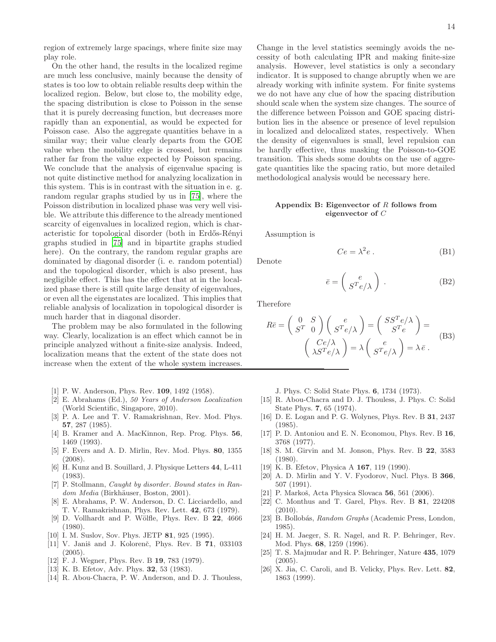region of extremely large spacings, where finite size may play role.

On the other hand, the results in the localized regime are much less conclusive, mainly because the density of states is too low to obtain reliable results deep within the localized region. Below, but close to, the mobility edge, the spacing distribution is close to Poisson in the sense that it is purely decreasing function, but decreases more rapidly than an exponential, as would be expected for Poisson case. Also the aggregate quantities behave in a similar way; their value clearly departs from the GOE value when the mobility edge is crossed, but remains rather far from the value expected by Poisson spacing. We conclude that the analysis of eigenvalue spacing is not quite distinctive method for analyzing localization in this system. This is in contrast with the situation in e. g. random regular graphs studied by us in [\[75](#page-14-31)], where the Poisson distribution in localized phase was very well visible. We attribute this difference to the already mentioned scarcity of eigenvalues in localized region, which is characteristic for topological disorder (both in Erdős-Rényi graphs studied in [\[75\]](#page-14-31) and in bipartite graphs studied here). On the contrary, the random regular graphs are dominated by diagonal disorder (i. e. random potential) and the topological disorder, which is also present, has negligible effect. This has the effect that at in the localized phase there is still quite large density of eigenvalues, or even all the eigenstates are localized. This implies that reliable analysis of localization in topological disorder is much harder that in diagonal disorder.

The problem may be also formulated in the following way. Clearly, localization is an effect which cannot be in principle analyzed without a finite-size analysis. Indeed, localization means that the extent of the state does not increase when the extent of the whole system increases.

- <span id="page-13-0"></span>[1] P. W. Anderson, Phys. Rev. **109**, 1492 (1958).
- <span id="page-13-1"></span>[2] E. Abrahams (Ed.), 50 Years of Anderson Localization (World Scientific, Singapore, 2010).
- [3] P. A. Lee and T. V. Ramakrishnan, Rev. Mod. Phys. 57, 287 (1985).
- [4] B. Kramer and A. MacKinnon, Rep. Prog. Phys. **56**, 1469 (1993).
- <span id="page-13-2"></span>[5] F. Evers and A. D. Mirlin, Rev. Mod. Phys. 80, 1355 (2008).
- <span id="page-13-3"></span>[6] H. Kunz and B. Souillard, J. Physique Letters 44, L-411 (1983).
- <span id="page-13-4"></span>[7] P. Stollmann, Caught by disorder. Bound states in Random Media (Birkhäuser, Boston, 2001).
- <span id="page-13-5"></span>[8] E. Abrahams, P. W. Anderson, D. C. Licciardello, and T. V. Ramakrishnan, Phys. Rev. Lett. 42, 673 (1979).
- <span id="page-13-6"></span>[9] D. Vollhardt and P. Wölfle, Phys. Rev. B  $22$ , 4666 (1980).
- [10] I. M. Suslov, Sov. Phys. JETP 81, 925 (1995).
- <span id="page-13-7"></span>[11] V. Janiš and J. Kolorenč, Phys. Rev. B 71, 033103 (2005).
- <span id="page-13-8"></span>[12] F. J. Wegner, Phys. Rev. B **19**, 783 (1979).
- <span id="page-13-9"></span>[13] K. B. Efetov, Adv. Phys. **32**, 53 (1983).
- <span id="page-13-10"></span>[14] R. Abou-Chacra, P. W. Anderson, and D. J. Thouless,

 $(B1)$ 

Change in the level statistics seemingly avoids the necessity of both calculating IPR and making finite-size analysis. However, level statistics is only a secondary indicator. It is supposed to change abruptly when we are already working with infinite system. For finite systems we do not have any clue of how the spacing distribution should scale when the system size changes. The source of the difference between Poisson and GOE spacing distribution lies in the absence or presence of level repulsion in localized and delocalized states, respectively. When the density of eigenvalues is small, level repulsion can be hardly effective, thus masking the Poisson-to-GOE transition. This sheds some doubts on the use of aggregate quantities like the spacing ratio, but more detailed methodological analysis would be necessary here.

# Appendix B: Eigenvector of  $R$  follows from eigenvector of C

 $Ce = \lambda^2$ 

Assumption is

Denote

$$
\left(\begin{array}{cc} & & \\ & & \end{array}\right)
$$

$$
\bar{e} = \left(\begin{array}{c} e \\ S^T e/\lambda \end{array}\right) . \tag{B2}
$$

Therefore

$$
R\bar{e} = \begin{pmatrix} 0 & S \\ S^T & 0 \end{pmatrix} \begin{pmatrix} e \\ S^T e/\lambda \end{pmatrix} = \begin{pmatrix} SS^T e/\lambda \\ S^T e \end{pmatrix} = \begin{pmatrix} Ce/\lambda \\ \lambda S^T e/\lambda \end{pmatrix} = \lambda \begin{pmatrix} e \\ S^T e/\lambda \end{pmatrix} = \lambda \bar{e} \tag{B3}
$$

J. Phys. C: Solid State Phys. 6, 1734 (1973).

- <span id="page-13-18"></span>[15] R. Abou-Chacra and D. J. Thouless, J. Phys. C: Solid State Phys. 7, 65 (1974).
- [16] D. E. Logan and P. G. Wolynes, Phys. Rev. B 31, 2437 (1985).
- [17] P. D. Antoniou and E. N. Economou, Phys. Rev. B 16, 3768 (1977).
- [18] S. M. Girvin and M. Jonson, Phys. Rev. B 22, 3583 (1980).
- [19] K. B. Efetov, Physica A **167**, 119 (1990).
- <span id="page-13-11"></span>[20] A. D. Mirlin and Y. V. Fyodorov, Nucl. Phys. B 366, 507 (1991).
- <span id="page-13-12"></span>[21] P. Markoš, Acta Physica Slovaca 56, 561 (2006).
- <span id="page-13-13"></span>[22] C. Monthus and T. Garel, Phys. Rev. B 81, 224208 (2010).
- <span id="page-13-14"></span>[23] B. Bollobás, Random Graphs (Academic Press, London, 1985).
- <span id="page-13-15"></span>[24] H. M. Jaeger, S. R. Nagel, and R. P. Behringer, Rev. Mod. Phys. 68, 1259 (1996).
- <span id="page-13-16"></span>[25] T. S. Majmudar and R. P. Behringer, Nature 435, 1079  $(2005).$
- <span id="page-13-17"></span>[26] X. Jia, C. Caroli, and B. Velicky, Phys. Rev. Lett. 82, 1863 (1999).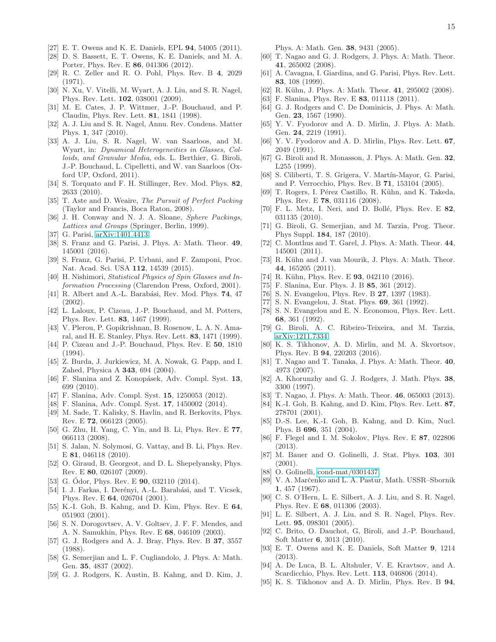- [27] E. T. Owens and K. E. Daniels, EPL 94, 54005 (2011).
- <span id="page-14-0"></span>[28] D. S. Bassett, E. T. Owens, K. E. Daniels, and M. A. Porter, Phys. Rev. E 86, 041306 (2012).
- <span id="page-14-1"></span>[29] R. C. Zeller and R. O. Pohl, Phys. Rev. B 4, 2029 (1971).
- <span id="page-14-2"></span>[30] N. Xu, V. Vitelli, M. Wyart, A. J. Liu, and S. R. Nagel, Phys. Rev. Lett. **102**, 038001 (2009).
- <span id="page-14-3"></span>[31] M. E. Cates, J. P. Wittmer, J.-P. Bouchaud, and P. Claudin, Phys. Rev. Lett. 81, 1841 (1998).
- [32] A. J. Liu and S. R. Nagel, Annu. Rev. Condens. Matter Phys. 1, 347 (2010).
- [33] A. J. Liu, S. R. Nagel, W. van Saarloos, and M. Wyart, in: Dynamical Heterogeneities in Glasses, Colloids, and Granular Media, eds. L. Berthier, G. Biroli, J.-P. Bouchaud, L. Cipelletti, and W. van Saarloos (Oxford UP, Oxford, 2011).
- <span id="page-14-4"></span>[34] S. Torquato and F. H. Stillinger, Rev. Mod. Phys. 82, 2633 (2010).
- <span id="page-14-5"></span>[35] T. Aste and D. Weaire, The Pursuit of Perfect Packing (Taylor and Francis, Boca Raton, 2008).
- <span id="page-14-6"></span>[36] J. H. Conway and N. J. A. Sloane, Sphere Packings, Lattices and Groups (Springer, Berlin, 1999).
- <span id="page-14-7"></span>[37] G. Parisi, [arXiv:1401.4413.](http://arxiv.org/abs/1401.4413)
- [38] S. Franz and G. Parisi, J. Phys. A: Math. Theor. 49, 145001 (2016).
- <span id="page-14-8"></span>[39] S. Franz, G. Parisi, P. Urbani, and F. Zamponi, Proc. Nat. Acad. Sci. USA 112, 14539 (2015).
- <span id="page-14-9"></span>[40] H. Nishimori, Statistical Physics of Spin Glasses and Information Processing (Clarendon Press, Oxford, 2001).
- <span id="page-14-10"></span>[41] R. Albert and A.-L. Barabási, Rev. Mod. Phys. 74, 47 (2002).
- <span id="page-14-11"></span>[42] L. Laloux, P. Cizeau, J.-P. Bouchaud, and M. Potters, Phys. Rev. Lett. 83, 1467 (1999).
- [43] V. Plerou, P. Gopikrishnan, B. Rosenow, L. A. N. Amaral, and H. E. Stanley, Phys. Rev. Lett. 83, 1471 (1999).
- <span id="page-14-21"></span>[44] P. Cizeau and J.-P. Bouchaud, Phys. Rev. E 50, 1810 (1994).
- <span id="page-14-12"></span>[45] Z. Burda, J. Jurkiewicz, M. A. Nowak, G. Papp, and I. Zahed, Physica A 343, 694 (2004).
- <span id="page-14-13"></span>[46] F. Slanina and Z. Konopásek, Adv. Compl. Syst. 13, 699 (2010).
- [47] F. Slanina, Adv. Compl. Syst. 15, 1250053 (2012).
- <span id="page-14-14"></span>[48] F. Slanina, Adv. Compl. Syst. 17, 1450002 (2014).
- <span id="page-14-15"></span>[49] M. Sade, T. Kalisky, S. Havlin, and R. Berkovits, Phys. Rev. E 72, 066123 (2005).
- [50] G. Zhu, H. Yang, C. Yin, and B. Li, Phys. Rev. E 77, 066113 (2008).
- [51] S. Jalan, N. Solymosi, G. Vattay, and B. Li, Phys. Rev. E 81, 046118 (2010).
- [52] O. Giraud, B. Georgeot, and D. L. Shepelyansky, Phys. Rev. E 80, 026107 (2009).
- <span id="page-14-16"></span>[53] G. Ódor, Phys. Rev. E  $90, 032110$  (2014).
- <span id="page-14-17"></span>[54] I. J. Farkas, I. Derényi, A.-L. Barabási, and T. Vicsek, Phys. Rev. E 64, 026704 (2001).
- [55] K.-I. Goh, B. Kahng, and D. Kim, Phys. Rev. E 64, 051903 (2001).
- <span id="page-14-18"></span>[56] S. N. Dorogovtsev, A. V. Goltsev, J. F. F. Mendes, and A. N. Samukhin, Phys. Rev. E 68, 046109 (2003).
- <span id="page-14-19"></span>[57] G. J. Rodgers and A. J. Bray, Phys. Rev. B **37**, 3557 (1988).
- <span id="page-14-27"></span>[58] G. Semerjian and L. F. Cugliandolo, J. Phys. A: Math. Gen. 35, 4837 (2002).
- <span id="page-14-40"></span>[59] G. J. Rodgers, K. Austin, B. Kahng, and D. Kim, J.

Phys. A: Math. Gen. 38, 9431 (2005).

- <span id="page-14-20"></span>[60] T. Nagao and G. J. Rodgers, J. Phys. A: Math. Theor. 41, 265002 (2008).
- <span id="page-14-22"></span>[61] A. Cavagna, I. Giardina, and G. Parisi, Phys. Rev. Lett. 83, 108 (1999).
- <span id="page-14-23"></span>[62] R. Kühn, J. Phys. A: Math. Theor. 41, 295002 (2008).
- <span id="page-14-24"></span>[63] F. Slanina, Phys. Rev. E **83**, 011118 (2011).
- <span id="page-14-25"></span>[64] G. J. Rodgers and C. De Dominicis, J. Phys. A: Math. Gen. 23, 1567 (1990).
- [65] Y. V. Fyodorov and A. D. Mirlin, J. Phys. A: Math. Gen. 24, 2219 (1991).
- <span id="page-14-26"></span>[66] Y. V. Fyodorov and A. D. Mirlin, Phys. Rev. Lett. 67, 2049 (1991).
- <span id="page-14-28"></span>[67] G. Biroli and R. Monasson, J. Phys. A: Math. Gen. 32, L255 (1999).
- <span id="page-14-29"></span>[68] S. Ciliberti, T. S. Grigera, V. Martín-Mayor, G. Parisi, and P. Verrocchio, Phys. Rev. B 71, 153104 (2005).
- [69] T. Rogers, I. Pérez Castillo, R. Kühn, and K. Takeda, Phys. Rev. E 78, 031116 (2008).
- <span id="page-14-32"></span>[70] F. L. Metz, I. Neri, and D. Bollé, Phys. Rev. E  $82$ , 031135 (2010).
- <span id="page-14-33"></span>[71] G. Biroli, G. Semerjian, and M. Tarzia, Prog. Theor. Phys Suppl. 184, 187 (2010).
- <span id="page-14-34"></span>[72] C. Monthus and T. Garel, J. Phys. A: Math. Theor. 44, 145001 (2011).
- <span id="page-14-42"></span>[73] R. Kühn and J. van Mourik, J. Phys. A: Math. Theor. 44, 165205 (2011).
- <span id="page-14-30"></span>[74] R. Kühn, Phys. Rev. E 93, 042110 (2016).
- <span id="page-14-31"></span>[75] F. Slanina, Eur. Phys. J. B 85, 361 (2012).
- [76] S. N. Evangelou, Phys. Rev. B 27, 1397 (1983).
- <span id="page-14-43"></span>[77] S. N. Evangelou, J. Stat. Phys. 69, 361 (1992).
- <span id="page-14-44"></span>[78] S. N. Evangelou and E. N. Economou, Phys. Rev. Lett. 68, 361 (1992).
- <span id="page-14-54"></span>[79] G. Biroli, A. C. Ribeiro-Teixeira, and M. Tarzia, [arXiv:1211.7334.](http://arxiv.org/abs/1211.7334)
- <span id="page-14-35"></span>[80] K. S. Tikhonov, A. D. Mirlin, and M. A. Skvortsov, Phys. Rev. B 94, 220203 (2016).
- <span id="page-14-36"></span>[81] T. Nagao and T. Tanaka, J. Phys. A: Math. Theor. 40, 4973 (2007).
- <span id="page-14-37"></span>[82] A. Khorunzhy and G. J. Rodgers, J. Math. Phys. 38, 3300 (1997).
- <span id="page-14-38"></span>[83] T. Nagao, J. Phys. A: Math. Theor. **46**, 065003 (2013).
- <span id="page-14-39"></span>[84] K.-I. Goh, B. Kahng, and D. Kim, Phys. Rev. Lett. 87, 278701 (2001).
- [85] D.-S. Lee, K.-I. Goh, B. Kahng, and D. Kim, Nucl. Phys. B 696, 351 (2004).
- <span id="page-14-41"></span>[86] F. Flegel and I. M. Sokolov, Phys. Rev. E 87, 022806 (2013).
- <span id="page-14-45"></span>[87] M. Bauer and O. Golinelli, J. Stat. Phys. 103, 301 (2001).
- <span id="page-14-46"></span>[88] O. Golinelli, [cond-mat/0301437.](http://arxiv.org/abs/cond-mat/0301437)
- <span id="page-14-47"></span>[89] V. A. Marčenko and L. A. Pastur, Math. USSR-Sbornik 1, 457 (1967).
- <span id="page-14-48"></span>[90] C. S. O'Hern, L. E. Silbert, A. J. Liu, and S. R. Nagel, Phys. Rev. E 68, 011306 (2003).
- <span id="page-14-49"></span>[91] L. E. Silbert, A. J. Liu, and S. R. Nagel, Phys. Rev. Lett. 95, 098301 (2005).
- <span id="page-14-50"></span>[92] C. Brito, O. Dauchot, G, Biroli, and J.-P. Bouchaud, Soft Matter 6, 3013 (2010).
- <span id="page-14-51"></span>[93] E. T. Owens and K. E. Daniels, Soft Matter 9, 1214 (2013).
- <span id="page-14-52"></span>[94] A. De Luca, B. L. Altshuler, V. E. Kravtsov, and A. Scardicchio, Phys. Rev. Lett. 113, 046806 (2014).
- <span id="page-14-53"></span>[95] K. S. Tikhonov and A. D. Mirlin, Phys. Rev. B 94,